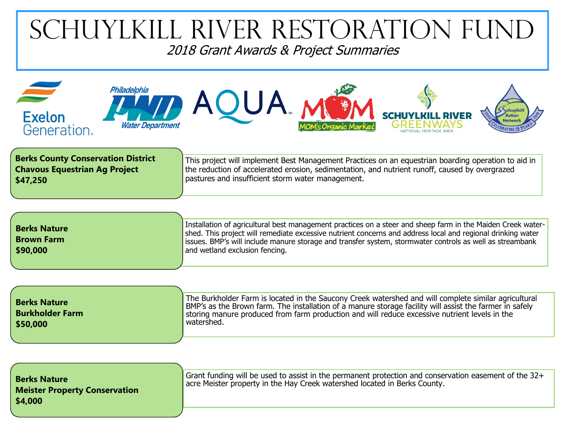## **TIKILL RIVER RESTORATION FUND** 2018 Grant Awards & Project Summaries



This project will implement Best Management Practices on an equestrian boarding operation to aid in the reduction of accelerated erosion, sedimentation, and nutrient runoff, caused by overgrazed pastures and insufficient storm water management. **Berks County Conservation District Chavous Equestrian Ag Project \$47,250**

| <b>Berks Nature</b><br><b>Brown Farm</b> | Installation of agricultural best management practices on a steer and sheep farm in the Maiden Creek water-<br>shed. This project will remediate excessive nutrient concerns and address local and regional drinking water<br>issues. BMP's will include manure storage and transfer system, stormwater controls as well as streambank |
|------------------------------------------|----------------------------------------------------------------------------------------------------------------------------------------------------------------------------------------------------------------------------------------------------------------------------------------------------------------------------------------|
| \$90,000                                 | and wetland exclusion fencing.                                                                                                                                                                                                                                                                                                         |

| <b>Berks Nature</b><br><b>Burkholder Farm</b><br>\$50,000 | The Burkholder Farm is located in the Saucony Creek watershed and will complete similar agricultural<br>BMP's as the Brown farm. The installation of a manure storage facility will assist the farmer in safely<br>storing manure produced from farm production and will reduce excessive nutrient levels in the<br>" watershed. |
|-----------------------------------------------------------|----------------------------------------------------------------------------------------------------------------------------------------------------------------------------------------------------------------------------------------------------------------------------------------------------------------------------------|
|                                                           |                                                                                                                                                                                                                                                                                                                                  |

| <b>Berks Nature</b><br><b>Meister Property Conservation</b><br>\$4,000 | Grant funding will be used to assist in the permanent protection and conservation easement of the $32+$<br>acre Meister property in the Hay Creek watershed located in Berks County. |
|------------------------------------------------------------------------|--------------------------------------------------------------------------------------------------------------------------------------------------------------------------------------|
|                                                                        |                                                                                                                                                                                      |